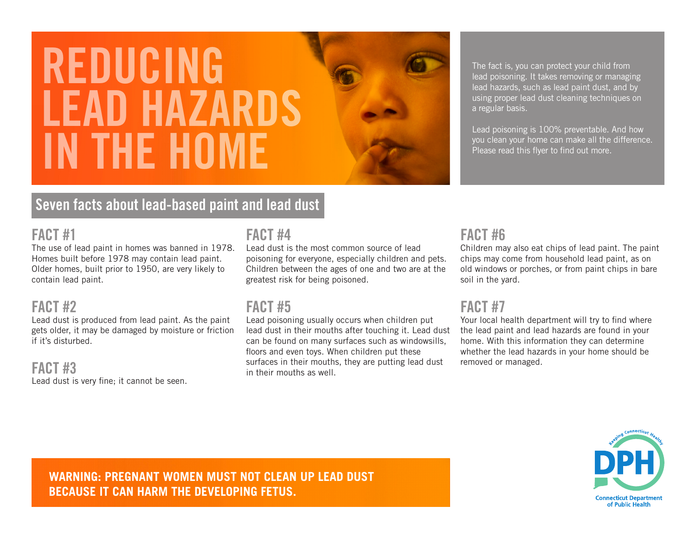# REDUCING LEAD HAZARDS IN THE HOME

# Seven facts about lead-based paint and lead dust

## FACT #1

The use of lead paint in homes was banned in 1978. Homes built before 1978 may contain lead paint. Older homes, built prior to 1950, are very likely to contain lead paint.

# FACT #2

Lead dust is produced from lead paint. As the paint gets older, it may be damaged by moisture or friction if it's disturbed.

## FACT #3

Lead dust is very fine; it cannot be seen.

# FACT #4

Lead dust is the most common source of lead poisoning for everyone, especially children and pets. Children between the ages of one and two are at the greatest risk for being poisoned.

# FACT #5

Lead poisoning usually occurs when children put lead dust in their mouths after touching it. Lead dust can be found on many surfaces such as windowsills, floors and even toys. When children put these surfaces in their mouths, they are putting lead dust in their mouths as well.

# FACT #6

a regular basis.

Children may also eat chips of lead paint. The paint chips may come from household lead paint, as on old windows or porches, or from paint chips in bare soil in the yard.

The fact is, you can protect your child from lead poisoning. It takes removing or managing lead hazards, such as lead paint dust, and by using proper lead dust cleaning techniques on

Lead poisoning is 100% preventable. And how you clean your home can make all the difference.

Please read this flyer to find out more.

# FACT #7

Your local health department will try to find where the lead paint and lead hazards are found in your home. With this information they can determine whether the lead hazards in your home should be removed or managed.



**WARNING: PREGNANT WOMEN MUST NOT CLEAN UP LEAD DUST BECAUSE IT CAN HARM THE DEVELOPING FETUS.**